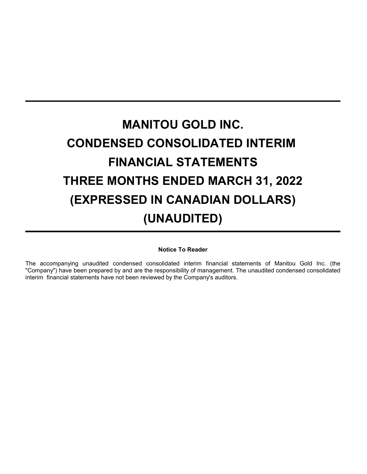# **MANITOU GOLD INC. CONDENSED CONSOLIDATED INTERIM FINANCIAL STATEMENTS THREE MONTHS ENDED MARCH 31, 2022 (EXPRESSED IN CANADIAN DOLLARS) (UNAUDITED)**

**Notice To Reader**

The accompanying unaudited condensed consolidated interim financial statements of Manitou Gold Inc. (the "Company") have been prepared by and are the responsibility of management. The unaudited condensed consolidated interim financial statements have not been reviewed by the Company's auditors.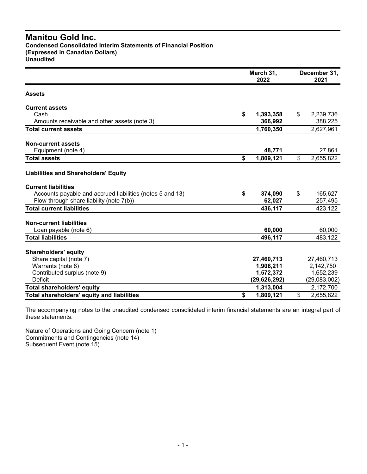**Condensed Consolidated Interim Statements of Financial Position (Expressed in Canadian Dollars)**

**Unaudited**

|                                                           | March 31,<br>2022 | December 31,<br>2021 |  |
|-----------------------------------------------------------|-------------------|----------------------|--|
| <b>Assets</b>                                             |                   |                      |  |
| <b>Current assets</b>                                     |                   |                      |  |
| Cash                                                      | \$<br>1,393,358   | \$<br>2,239,736      |  |
| Amounts receivable and other assets (note 3)              | 366,992           | 388,225              |  |
| <b>Total current assets</b>                               | 1,760,350         | 2,627,961            |  |
| <b>Non-current assets</b>                                 |                   |                      |  |
| Equipment (note 4)                                        | 48,771            | 27,861               |  |
| <b>Total assets</b>                                       | \$<br>1,809,121   | \$<br>2,655,822      |  |
| <b>Liabilities and Shareholders' Equity</b>               |                   |                      |  |
| <b>Current liabilities</b>                                |                   |                      |  |
| Accounts payable and accrued liabilities (notes 5 and 13) | \$<br>374,090     | \$<br>165,627        |  |
| Flow-through share liability (note 7(b))                  | 62,027            | 257,495              |  |
| <b>Total current liabilities</b>                          | 436,117           | 423,122              |  |
| <b>Non-current liabilities</b>                            |                   |                      |  |
| Loan payable (note 6)                                     | 60,000            | 60,000               |  |
| <b>Total liabilities</b>                                  | 496,117           | 483,122              |  |
| <b>Shareholders' equity</b>                               |                   |                      |  |
| Share capital (note 7)                                    | 27,460,713        | 27,460,713           |  |
| Warrants (note 8)                                         | 1,906,211         | 2,142,750            |  |
| Contributed surplus (note 9)                              | 1,572,372         | 1,652,239            |  |
| <b>Deficit</b>                                            | (29, 626, 292)    | (29,083,002)         |  |
| <b>Total shareholders' equity</b>                         | 1,313,004         | 2,172,700            |  |
| Total shareholders' equity and liabilities                | \$<br>1,809,121   | \$<br>2,655,822      |  |

The accompanying notes to the unaudited condensed consolidated interim financial statements are an integral part of these statements.

Nature of Operations and Going Concern (note 1) Commitments and Contingencies (note 14) Subsequent Event (note 15)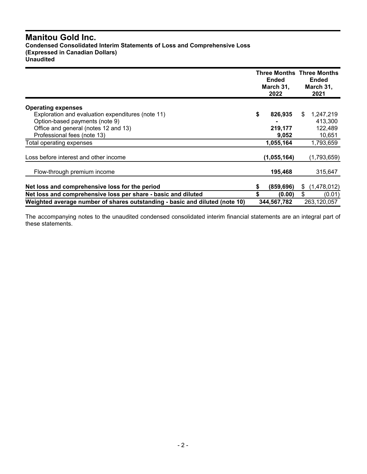## **Manitou Gold Inc. Condensed Consolidated Interim Statements of Loss and Comprehensive Loss (Expressed in Canadian Dollars) Unaudited**

|                                                                             |    | <b>Ended</b><br>March 31,<br>2022 | <b>Three Months Three Months</b><br><b>Ended</b><br>March 31,<br>2021 |             |  |
|-----------------------------------------------------------------------------|----|-----------------------------------|-----------------------------------------------------------------------|-------------|--|
| <b>Operating expenses</b>                                                   |    |                                   |                                                                       |             |  |
| Exploration and evaluation expenditures (note 11)                           | \$ | 826,935                           | \$.                                                                   | 1,247,219   |  |
| Option-based payments (note 9)                                              |    |                                   |                                                                       | 413.300     |  |
| Office and general (notes 12 and 13)                                        |    | 219,177                           |                                                                       | 122,489     |  |
| Professional fees (note 13)                                                 |    | 9,052                             |                                                                       | 10,651      |  |
| Total operating expenses                                                    |    | 1,055,164                         |                                                                       | 1,793,659   |  |
| Loss before interest and other income                                       |    | (1,055,164)                       |                                                                       | (1,793,659) |  |
| Flow-through premium income                                                 |    | 195,468                           |                                                                       | 315,647     |  |
| Net loss and comprehensive loss for the period                              | \$ | (859, 696)                        | S                                                                     | (1,478,012) |  |
| Net loss and comprehensive loss per share - basic and diluted               | S  | (0.00)                            | \$                                                                    | (0.01)      |  |
| Weighted average number of shares outstanding - basic and diluted (note 10) |    | 344,567,782                       |                                                                       | 263,120,057 |  |

The accompanying notes to the unaudited condensed consolidated interim financial statements are an integral part of these statements.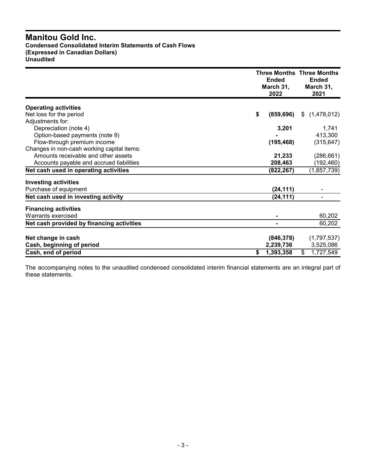## **Manitou Gold Inc. Condensed Consolidated Interim Statements of Cash Flows (Expressed in Canadian Dollars) Unaudited**

|                                            | <b>Ended</b><br>March 31,<br>2022 | <b>Three Months Three Months</b><br><b>Ended</b><br>March 31,<br>2021 |
|--------------------------------------------|-----------------------------------|-----------------------------------------------------------------------|
| <b>Operating activities</b>                |                                   |                                                                       |
| Net loss for the period                    | \$<br>(859, 696)                  | \$<br>(1,478,012)                                                     |
| Adjustments for:                           |                                   |                                                                       |
| Depreciation (note 4)                      | 3,201                             | 1,741                                                                 |
| Option-based payments (note 9)             |                                   | 413,300                                                               |
| Flow-through premium income                | (195, 468)                        | (315, 647)                                                            |
| Changes in non-cash working capital items: |                                   |                                                                       |
| Amounts receivable and other assets        | 21,233                            | (286, 661)                                                            |
| Accounts payable and accrued liabilities   | 208,463                           | (192,460)                                                             |
| Net cash used in operating activities      | (822, 267)                        | (1,857,739)                                                           |
| <b>Investing activities</b>                |                                   |                                                                       |
| Purchase of equipment                      | (24, 111)                         |                                                                       |
| Net cash used in investing activity        | (24,111)                          |                                                                       |
| <b>Financing activities</b>                |                                   |                                                                       |
| Warrants exercised                         |                                   | 60,202                                                                |
| Net cash provided by financing activities  | $\blacksquare$                    | 60,202                                                                |
|                                            |                                   |                                                                       |
| Net change in cash                         | (846, 378)                        | (1,797,537)<br>3,525,086                                              |
| Cash, beginning of period                  | 2,239,736                         |                                                                       |
| Cash, end of period                        | 1,393,358<br>S                    | \$<br>1,727,549                                                       |

The accompanying notes to the unaudited condensed consolidated interim financial statements are an integral part of these statements.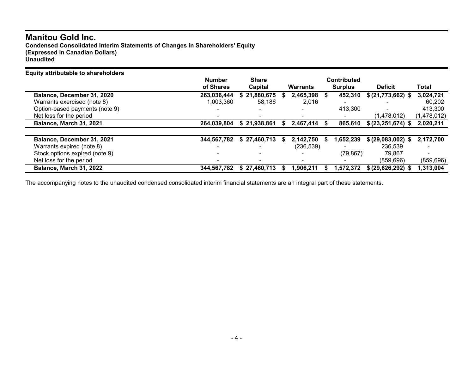**Condensed Consolidated Interim Statements of Changes in Shareholders' Equity (Expressed in Canadian Dollars) Unaudited**

| <b>Equity attributable to shareholders</b> |                |              |                 |   |                |                       |             |
|--------------------------------------------|----------------|--------------|-----------------|---|----------------|-----------------------|-------------|
|                                            | <b>Number</b>  | <b>Share</b> |                 |   | Contributed    |                       |             |
|                                            | of Shares      | Capital      | <b>Warrants</b> |   | <b>Surplus</b> | <b>Deficit</b>        | Total       |
| Balance, December 31, 2020                 | 263,036,444    | 21,880,675   | 2,465,398       | S | 452,310        | \$ (21,773,662) \$    | 3,024,721   |
| Warrants exercised (note 8)                | 1,003,360      | 58.186       | 2,016           |   |                |                       | 60.202      |
| Option-based payments (note 9)             | $\blacksquare$ |              |                 |   | 413,300        |                       | 413,300     |
| Net loss for the period                    |                |              |                 |   |                | (1,478,012)           | (1,478,012) |
| Balance, March 31, 2021                    | 264,039,804    | \$21,938,861 | 2,467,414       |   | 865,610        | \$ (23, 251, 674) \$  | 2,020,211   |
|                                            |                |              |                 |   |                |                       |             |
| Balance, December 31, 2021                 | 344,567,782    | \$27,460,713 | 2,142,750       |   | 1,652,239      | \$ (29,083,002)<br>S. | 2,172,700   |
| Warrants expired (note 8)                  |                |              | (236, 539)      |   |                | 236,539               |             |
| Stock options expired (note 9)             |                |              |                 |   | (79, 867)      | 79.867                |             |
| Net loss for the period                    |                |              |                 |   |                | (859.696)             | (859, 696)  |
| Balance, March 31, 2022                    | 344,567,782    | \$27.460.713 | 1,906,211       |   | 1.572.372      | \$ (29,626,292) \$    | 1,313,004   |

The accompanying notes to the unaudited condensed consolidated interim financial statements are an integral part of these statements.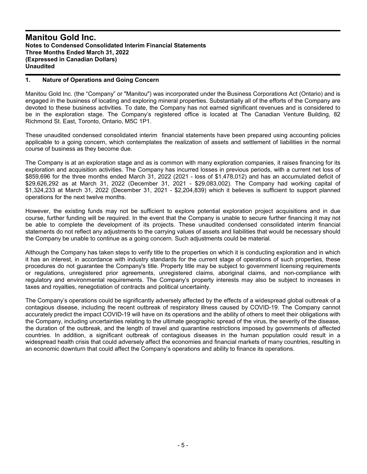#### **1. Nature of Operations and Going Concern**

Manitou Gold Inc. (the "Company" or "Manitou") was incorporated under the Business Corporations Act (Ontario) and is engaged in the business of locating and exploring mineral properties. Substantially all of the efforts of the Company are devoted to these business activities. To date, the Company has not earned significant revenues and is considered to be in the exploration stage. The Company's registered office is located at The Canadian Venture Building, 82 Richmond St. East, Toronto, Ontario, M5C 1P1.

These unaudited condensed consolidated interim financial statements have been prepared using accounting policies applicable to a going concern, which contemplates the realization of assets and settlement of liabilities in the normal course of business as they become due.

The Company is at an exploration stage and as is common with many exploration companies, it raises financing for its exploration and acquisition activities. The Company has incurred losses in previous periods, with a current net loss of \$859,696 for the three months ended March 31, 2022 (2021 - loss of \$1,478,012) and has an accumulated deficit of \$29,626,292 as at March 31, 2022 (December 31, 2021 - \$29,083,002). The Company had working capital of \$1,324,233 at March 31, 2022 (December 31, 2021 - \$2,204,839) which it believes is sufficient to support planned operations for the next twelve months.

However, the existing funds may not be sufficient to explore potential exploration project acquisitions and in due course, further funding will be required. In the event that the Company is unable to secure further financing it may not be able to complete the development of its projects. These unaudited condensed consolidated interim financial statements do not reflect any adjustments to the carrying values of assets and liabilities that would be necessary should the Company be unable to continue as a going concern. Such adjustments could be material.

Although the Company has taken steps to verify title to the properties on which it is conducting exploration and in which it has an interest, in accordance with industry standards for the current stage of operations of such properties, these procedures do not guarantee the Company's title. Property title may be subject to government licensing requirements or regulations, unregistered prior agreements, unregistered claims, aboriginal claims, and non-compliance with regulatory and environmental requirements. The Company's property interests may also be subject to increases in taxes and royalties, renegotiation of contracts and political uncertainty.

The Company's operations could be significantly adversely affected by the effects of a widespread global outbreak of a contagious disease, including the recent outbreak of respiratory illness caused by COVID-19. The Company cannot accurately predict the impact COVID-19 will have on its operations and the ability of others to meet their obligations with the Company, including uncertainties relating to the ultimate geographic spread of the virus, the severity of the disease, the duration of the outbreak, and the length of travel and quarantine restrictions imposed by governments of affected countries. In addition, a significant outbreak of contagious diseases in the human population could result in a widespread health crisis that could adversely affect the economies and financial markets of many countries, resulting in an economic downturn that could affect the Company's operations and ability to finance its operations.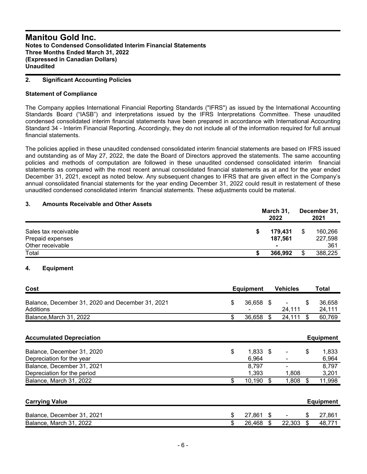## **2. Significant Accounting Policies**

## **Statement of Compliance**

The Company applies International Financial Reporting Standards ("IFRS") as issued by the International Accounting Standards Board ("IASB") and interpretations issued by the IFRS Interpretations Committee. These unaudited condensed consolidated interim financial statements have been prepared in accordance with International Accounting Standard 34 - Interim Financial Reporting. Accordingly, they do not include all of the information required for full annual financial statements.

The policies applied in these unaudited condensed consolidated interim financial statements are based on IFRS issued and outstanding as of May 27, 2022, the date the Board of Directors approved the statements. The same accounting policies and methods of computation are followed in these unaudited condensed consolidated interim financial statements as compared with the most recent annual consolidated financial statements as at and for the year ended December 31, 2021, except as noted below. Any subsequent changes to IFRS that are given effect in the Company's annual consolidated financial statements for the year ending December 31, 2022 could result in restatement of these unaudited condensed consolidated interim financial statements. These adjustments could be material.

## **3. Amounts Receivable and Other Assets**

| Sales tax receivable | March 31,<br>2022 |    |         |  |
|----------------------|-------------------|----|---------|--|
|                      | 179.431           | \$ | 160,266 |  |
| Prepaid expenses     | 187.561           |    | 227,598 |  |
| Other receivable     |                   |    | 361     |  |
| Total                | 366,992           | \$ | 388,225 |  |

## **4. Equipment**

| Cost                                                          | Equipment | <b>Vehicles</b> | Total            |
|---------------------------------------------------------------|-----------|-----------------|------------------|
| Balance, December 31, 2020 and December 31, 2021<br>Additions | 36.658 \$ | ۰.<br>24.111    | 36.658<br>24.111 |
| Balance, March 31, 2022                                       | 36.658 \$ | $24,111$ \$     | 60.769           |

| <b>Accumulated Depreciation</b> |                  |       | <b>Equipment</b> |
|---------------------------------|------------------|-------|------------------|
| Balance, December 31, 2020      | \$<br>$1.833$ \$ |       | 1.833            |
| Depreciation for the year       | 6,964            |       | 6,964            |
| Balance, December 31, 2021      | 8.797            |       | 8,797            |
| Depreciation for the period     | 1.393            | 1.808 | 3,201            |
| Balance, March 31, 2022         | 10,190           | 1,808 | 11,998           |
|                                 |                  |       |                  |
|                                 |                  |       |                  |

| <b>Carrying Value</b>      |        |                | Equipment |
|----------------------------|--------|----------------|-----------|
| Balance, December 31, 2021 | 27.861 | $\blacksquare$ | 27,861    |
| Balance, March 31, 2022    | 26,468 | 22,303         | 48,771    |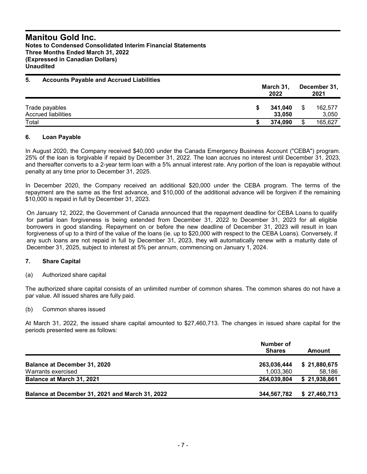| <b>Accounts Payable and Accrued Liabilities</b> | March 31,<br>2022 |    |                  |
|-------------------------------------------------|-------------------|----|------------------|
| Trade payables<br>Accrued liabilities           | 341.040<br>33,050 | \$ | 162.577<br>3,050 |
| Total                                           | 374.090           | \$ | 165,627          |

## **6. Loan Payable**

In August 2020, the Company received \$40,000 under the Canada Emergency Business Account ("CEBA") program. 25% of the loan is forgivable if repaid by December 31, 2022. The loan accrues no interest until December 31, 2023, and thereafter converts to a 2-year term loan with a 5% annual interest rate. Any portion of the loan is repayable without penalty at any time prior to December 31, 2025.

In December 2020, the Company received an additional \$20,000 under the CEBA program. The terms of the repayment are the same as the first advance, and \$10,000 of the additional advance will be forgiven if the remaining \$10,000 is repaid in full by December 31, 2023.

On January 12, 2022, the Government of Canada announced that the repayment deadline for CEBA Loans to qualify for partial loan forgiveness is being extended from December 31, 2022 to December 31, 2023 for all eligible borrowers in good standing. Repayment on or before the new deadline of December 31, 2023 will result in loan forgiveness of up to a third of the value of the loans (ie. up to \$20,000 with respect to the CEBA Loans). Conversely, if any such loans are not repaid in full by December 31, 2023, they will automatically renew with a maturity date of December 31, 2025, subject to interest at 5% per annum, commencing on January 1, 2024.

## **7. Share Capital**

(a) Authorized share capital

The authorized share capital consists of an unlimited number of common shares. The common shares do not have a par value. All issued shares are fully paid.

## (b) Common shares issued

At March 31, 2022, the issued share capital amounted to \$27,460,713. The changes in issued share capital for the periods presented were as follows:

|                                                 | Number of<br><b>Shares</b> | Amount       |
|-------------------------------------------------|----------------------------|--------------|
| <b>Balance at December 31, 2020</b>             | 263,036,444                | \$21,880,675 |
| Warrants exercised                              | 1,003,360                  | 58,186       |
| Balance at March 31, 2021                       | 264,039,804                | \$21,938,861 |
| Balance at December 31, 2021 and March 31, 2022 | 344,567,782                | \$27,460,713 |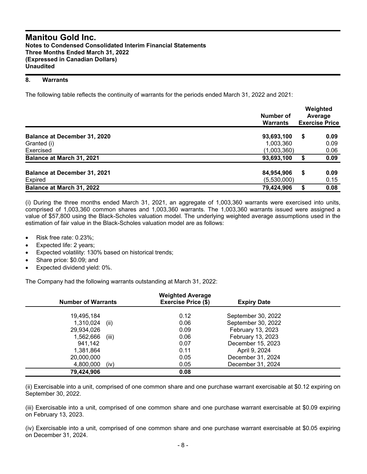#### **8. Warrants**

The following table reflects the continuity of warrants for the periods ended March 31, 2022 and 2021:

|                                     | Number of<br><b>Warrants</b> | Weighted<br>Average<br><b>Exercise Price</b> |      |  |  |
|-------------------------------------|------------------------------|----------------------------------------------|------|--|--|
| <b>Balance at December 31, 2020</b> | 93,693,100                   | \$                                           | 0.09 |  |  |
| Granted (i)                         | 1,003,360                    |                                              | 0.09 |  |  |
| Exercised                           | (1,003,360)                  |                                              | 0.06 |  |  |
| Balance at March 31, 2021           | 93,693,100                   | \$                                           | 0.09 |  |  |
| <b>Balance at December 31, 2021</b> | 84,954,906                   | S                                            | 0.09 |  |  |
| Expired                             | (5,530,000)                  |                                              | 0.15 |  |  |
| Balance at March 31, 2022           | 79,424,906                   | \$                                           | 0.08 |  |  |

(i) During the three months ended March 31, 2021, an aggregate of 1,003,360 warrants were exercised into units, comprised of 1,003,360 common shares and 1,003,360 warrants. The 1,003,360 warrants issued were assigned a value of \$57,800 using the Black-Scholes valuation model. The underlying weighted average assumptions used in the estimation of fair value in the Black-Scholes valuation model are as follows:

- Risk free rate: 0.23%;
- Expected life: 2 years;
- Expected volatility: 130% based on historical trends;
- Share price: \$0.09; and
- Expected dividend yield: 0%.

The Company had the following warrants outstanding at March 31, 2022:

| <b>Number of Warrants</b> | <b>Weighted Average</b><br><b>Exercise Price (\$)</b> | <b>Expiry Date</b> |  |
|---------------------------|-------------------------------------------------------|--------------------|--|
|                           |                                                       |                    |  |
| 19,495,184                | 0.12                                                  | September 30, 2022 |  |
| 1,310,024<br>(ii)         | 0.06                                                  | September 30, 2022 |  |
| 29,934,026                | 0.09                                                  | February 13, 2023  |  |
| (iii)<br>1,562,666        | 0.06                                                  | February 13, 2023  |  |
| 941.142                   | 0.07                                                  | December 15, 2023  |  |
| 1,381,864                 | 0.11                                                  | April 9, 2024      |  |
| 20,000,000                | 0.05                                                  | December 31, 2024  |  |
| 4,800,000<br>(iv)         | 0.05                                                  | December 31, 2024  |  |
| 79,424,906                | 0.08                                                  |                    |  |

(ii) Exercisable into a unit, comprised of one common share and one purchase warrant exercisable at \$0.12 expiring on September 30, 2022.

(iii) Exercisable into a unit, comprised of one common share and one purchase warrant exercisable at \$0.09 expiring on February 13, 2023.

(iv) Exercisable into a unit, comprised of one common share and one purchase warrant exercisable at \$0.05 expiring on December 31, 2024.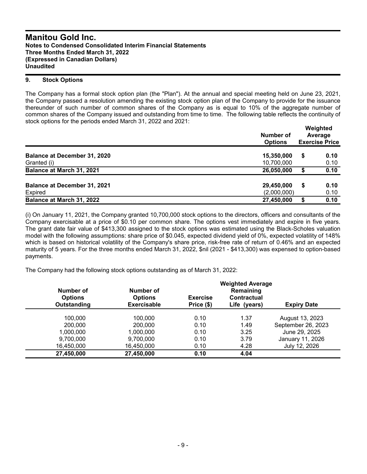## **9. Stock Options**

The Company has a formal stock option plan (the "Plan"). At the annual and special meeting held on June 23, 2021, the Company passed a resolution amending the existing stock option plan of the Company to provide for the issuance thereunder of such number of common shares of the Company as is equal to 10% of the aggregate number of common shares of the Company issued and outstanding from time to time. The following table reflects the continuity of stock options for the periods ended March 31, 2022 and 2021:

|                                     | <b>Number of</b><br><b>Options</b> | Weighted<br>Average<br><b>Exercise Price</b> |      |  |
|-------------------------------------|------------------------------------|----------------------------------------------|------|--|
| <b>Balance at December 31, 2020</b> | 15,350,000                         | S                                            | 0.10 |  |
| Granted (i)                         | 10,700,000                         |                                              | 0.10 |  |
| Balance at March 31, 2021           | 26,050,000                         | S                                            | 0.10 |  |
| <b>Balance at December 31, 2021</b> | 29,450,000                         | S                                            | 0.10 |  |
| Expired                             | (2,000,000)                        |                                              | 0.10 |  |
| Balance at March 31, 2022           | 27,450,000                         | S                                            | 0.10 |  |

(i) On January 11, 2021, the Company granted 10,700,000 stock options to the directors, officers and consultants of the Company exercisable at a price of \$0.10 per common share. The options vest immediately and expire in five years. The grant date fair value of \$413,300 assigned to the stock options was estimated using the Black-Scholes valuation model with the following assumptions: share price of \$0.045, expected dividend yield of 0%, expected volatility of 148% which is based on historical volatility of the Company's share price, risk-free rate of return of 0.46% and an expected maturity of 5 years. For the three months ended March 31, 2022, \$nil (2021 - \$413,300) was expensed to option-based payments.

The Company had the following stock options outstanding as of March 31, 2022:

|                                            |                                                   | <b>Weighted Average</b>       |                                                 |                    |
|--------------------------------------------|---------------------------------------------------|-------------------------------|-------------------------------------------------|--------------------|
| Number of<br><b>Options</b><br>Outstanding | Number of<br><b>Options</b><br><b>Exercisable</b> | <b>Exercise</b><br>Price (\$) | Remaining<br><b>Contractual</b><br>Life (years) | <b>Expiry Date</b> |
| 100,000                                    | 100.000                                           | 0.10                          | 1.37                                            | August 13, 2023    |
| 200,000                                    | 200,000                                           | 0.10                          | 1.49                                            | September 26, 2023 |
| 1,000,000                                  | 1,000,000                                         | 0.10                          | 3.25                                            | June 29, 2025      |
| 9,700,000                                  | 9,700,000                                         | 0.10                          | 3.79                                            | January 11, 2026   |
| 16,450,000                                 | 16,450,000                                        | 0.10                          | 4.28                                            | July 12, 2026      |
| 27,450,000                                 | 27,450,000                                        | 0.10                          | 4.04                                            |                    |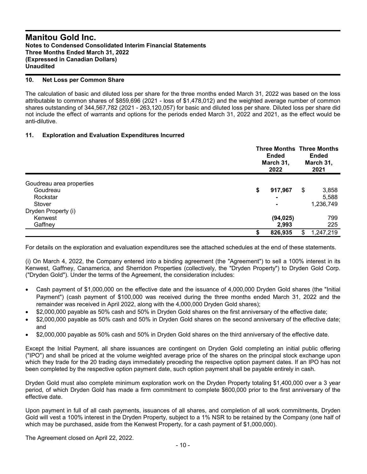#### **10. Net Loss per Common Share**

The calculation of basic and diluted loss per share for the three months ended March 31, 2022 was based on the loss attributable to common shares of \$859,696 (2021 - loss of \$1,478,012) and the weighted average number of common shares outstanding of 344,567,782 (2021 - 263,120,057) for basic and diluted loss per share. Diluted loss per share did not include the effect of warrants and options for the periods ended March 31, 2022 and 2021, as the effect would be anti-dilutive.

## **11. Exploration and Evaluation Expenditures Incurred**

|                          | <b>Three Months Three Months</b><br><b>Ended</b><br>March 31,<br>2022 |    | <b>Ended</b><br>March 31,<br>2021 |  |
|--------------------------|-----------------------------------------------------------------------|----|-----------------------------------|--|
|                          |                                                                       |    |                                   |  |
| Goudreau area properties |                                                                       |    |                                   |  |
| Goudreau                 | \$<br>917,967                                                         | \$ | 3,858                             |  |
| Rockstar                 |                                                                       |    | 5,588                             |  |
| Stover                   | -                                                                     |    | 1,236,749                         |  |
| Dryden Property (i)      |                                                                       |    |                                   |  |
| Kenwest                  | (94,025)                                                              |    | 799                               |  |
| Gaffney                  | 2,993                                                                 |    | 225                               |  |
|                          | 826,935                                                               | \$ | 1,247,219                         |  |

For details on the exploration and evaluation expenditures see the attached schedules at the end of these statements.

(i) On March 4, 2022, the Company entered into a binding agreement (the "Agreement") to sell a 100% interest in its Kenwest, Gaffney, Canamerica, and Sherridon Properties (collectively, the "Dryden Property") to Dryden Gold Corp. ("Dryden Gold"). Under the terms of the Agreement, the consideration includes:

- Cash payment of \$1,000,000 on the effective date and the issuance of 4,000,000 Dryden Gold shares (the "Initial Payment") (cash payment of \$100,000 was received during the three months ended March 31, 2022 and the remainder was received in April 2022, along with the 4,000,000 Dryden Gold shares);
- \$2,000,000 payable as 50% cash and 50% in Dryden Gold shares on the first anniversary of the effective date;
- \$2,000,000 payable as 50% cash and 50% in Dryden Gold shares on the second anniversary of the effective date; and
- \$2,000,000 payable as 50% cash and 50% in Dryden Gold shares on the third anniversary of the effective date.

Except the Initial Payment, all share issuances are contingent on Dryden Gold completing an initial public offering ("IPO") and shall be priced at the volume weighted average price of the shares on the principal stock exchange upon which they trade for the 20 trading days immediately preceding the respective option payment dates. If an IPO has not been completed by the respective option payment date, such option payment shall be payable entirely in cash.

Dryden Gold must also complete minimum exploration work on the Dryden Property totaling \$1,400,000 over a 3 year period, of which Dryden Gold has made a firm commitment to complete \$600,000 prior to the first anniversary of the effective date.

Upon payment in full of all cash payments, issuances of all shares, and completion of all work commitments, Dryden Gold will vest a 100% interest in the Dryden Property, subject to a 1% NSR to be retained by the Company (one half of which may be purchased, aside from the Kenwest Property, for a cash payment of \$1,000,000).

The Agreement closed on April 22, 2022.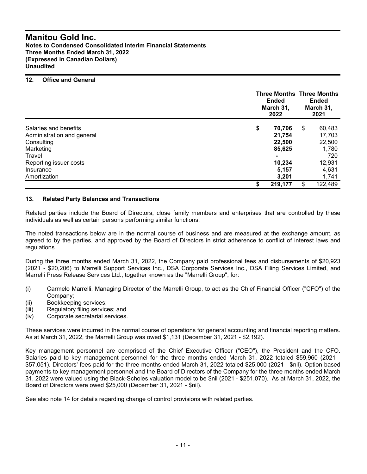**Notes to Condensed Consolidated Interim Financial Statements Three Months Ended March 31, 2022 (Expressed in Canadian Dollars) Unaudited**

## **12. Office and General**

|                            |    | <b>Ended</b><br>March 31,<br>2022 |    | <b>Three Months Three Months</b><br><b>Ended</b><br>March 31,<br>2021 |  |
|----------------------------|----|-----------------------------------|----|-----------------------------------------------------------------------|--|
| Salaries and benefits      | \$ | 70,706                            | \$ | 60,483                                                                |  |
| Administration and general |    | 21,754                            |    | 17,703                                                                |  |
| Consulting                 |    | 22,500                            |    | 22,500                                                                |  |
| Marketing                  |    | 85,625                            |    | 1,780                                                                 |  |
| Travel                     |    | $\blacksquare$                    |    | 720                                                                   |  |
| Reporting issuer costs     |    | 10,234                            |    | 12,931                                                                |  |
| Insurance                  |    | 5,157                             |    | 4,631                                                                 |  |
| Amortization               |    | 3,201                             |    | 1,741                                                                 |  |
|                            | S  | 219,177                           | \$ | 122,489                                                               |  |

## **13. Related Party Balances and Transactions**

Related parties include the Board of Directors, close family members and enterprises that are controlled by these individuals as well as certain persons performing similar functions.

The noted transactions below are in the normal course of business and are measured at the exchange amount, as agreed to by the parties, and approved by the Board of Directors in strict adherence to conflict of interest laws and regulations.

During the three months ended March 31, 2022, the Company paid professional fees and disbursements of \$20,923 (2021 - \$20,206) to Marrelli Support Services Inc., DSA Corporate Services Inc., DSA Filing Services Limited, and Marrelli Press Release Services Ltd., together known as the "Marrelli Group", for:

- (i) Carmelo Marrelli, Managing Director of the Marrelli Group, to act as the Chief Financial Officer ("CFO") of the Company;
- (ii) Bookkeeping services;
- (iii) Regulatory filing services; and
- (iv) Corporate secretarial services.

These services were incurred in the normal course of operations for general accounting and financial reporting matters. As at March 31, 2022, the Marrelli Group was owed \$1,131 (December 31, 2021 - \$2,192).

Key management personnel are comprised of the Chief Executive Officer ("CEO"), the President and the CFO. Salaries paid to key management personnel for the three months ended March 31, 2022 totaled \$59,960 (2021 - \$57,051). Directors' fees paid for the three months ended March 31, 2022 totaled \$25,000 (2021 - \$nil). Option-based payments to key management personnel and the Board of Directors of the Company for the three months ended March 31, 2022 were valued using the Black-Scholes valuation model to be \$nil (2021 - \$251,070). As at March 31, 2022, the Board of Directors were owed \$25,000 (December 31, 2021 - \$nil).

See also note 14 for details regarding change of control provisions with related parties.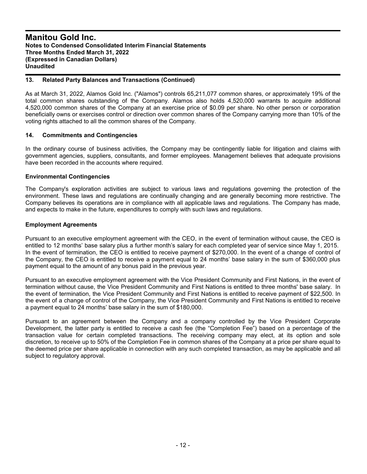#### **13. Related Party Balances and Transactions (Continued)**

As at March 31, 2022, Alamos Gold Inc. ("Alamos") controls 65,211,077 common shares, or approximately 19% of the total common shares outstanding of the Company. Alamos also holds 4,520,000 warrants to acquire additional 4,520,000 common shares of the Company at an exercise price of \$0.09 per share. No other person or corporation beneficially owns or exercises control or direction over common shares of the Company carrying more than 10% of the voting rights attached to all the common shares of the Company.

## **14. Commitments and Contingencies**

In the ordinary course of business activities, the Company may be contingently liable for litigation and claims with government agencies, suppliers, consultants, and former employees. Management believes that adequate provisions have been recorded in the accounts where required.

#### **Environmental Contingencies**

The Company's exploration activities are subject to various laws and regulations governing the protection of the environment. These laws and regulations are continually changing and are generally becoming more restrictive. The Company believes its operations are in compliance with all applicable laws and regulations. The Company has made, and expects to make in the future, expenditures to comply with such laws and regulations.

#### **Employment Agreements**

Pursuant to an executive employment agreement with the CEO, in the event of termination without cause, the CEO is entitled to 12 months' base salary plus a further month's salary for each completed year of service since May 1, 2015. In the event of termination, the CEO is entitled to receive payment of \$270,000. In the event of a change of control of the Company, the CEO is entitled to receive a payment equal to 24 months' base salary in the sum of \$360,000 plus payment equal to the amount of any bonus paid in the previous year.

Pursuant to an executive employment agreement with the Vice President Community and First Nations, in the event of termination without cause, the Vice President Community and First Nations is entitled to three months' base salary. In the event of termination, the Vice President Community and First Nations is entitled to receive payment of \$22,500. In the event of a change of control of the Company, the Vice President Community and First Nations is entitled to receive a payment equal to 24 months' base salary in the sum of \$180,000.

Pursuant to an agreement between the Company and a company controlled by the Vice President Corporate Development, the latter party is entitled to receive a cash fee (the "Completion Fee") based on a percentage of the transaction value for certain completed transactions. The receiving company may elect, at its option and sole discretion, to receive up to 50% of the Completion Fee in common shares of the Company at a price per share equal to the deemed price per share applicable in connection with any such completed transaction, as may be applicable and all subject to regulatory approval.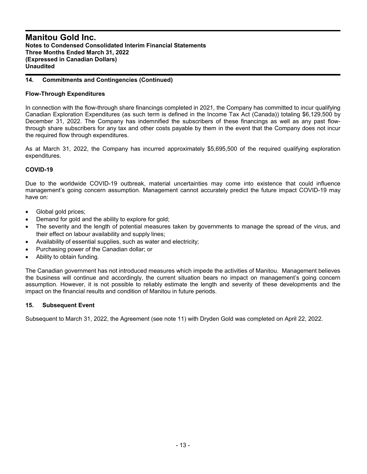## **14. Commitments and Contingencies (Continued)**

## **Flow-Through Expenditures**

In connection with the flow-through share financings completed in 2021, the Company has committed to incur qualifying Canadian Exploration Expenditures (as such term is defined in the Income Tax Act (Canada)) totaling \$6,129,500 by December 31, 2022. The Company has indemnified the subscribers of these financings as well as any past flowthrough share subscribers for any tax and other costs payable by them in the event that the Company does not incur the required flow through expenditures.

As at March 31, 2022, the Company has incurred approximately \$5,695,500 of the required qualifying exploration expenditures.

## **COVID-19**

Due to the worldwide COVID-19 outbreak, material uncertainties may come into existence that could influence management's going concern assumption. Management cannot accurately predict the future impact COVID-19 may have on:

- Global gold prices;
- Demand for gold and the ability to explore for gold;
- The severity and the length of potential measures taken by governments to manage the spread of the virus, and their effect on labour availability and supply lines;
- Availability of essential supplies, such as water and electricity;
- Purchasing power of the Canadian dollar; or
- Ability to obtain funding.

The Canadian government has not introduced measures which impede the activities of Manitou. Management believes the business will continue and accordingly, the current situation bears no impact on management's going concern assumption. However, it is not possible to reliably estimate the length and severity of these developments and the impact on the financial results and condition of Manitou in future periods.

## **15. Subsequent Event**

Subsequent to March 31, 2022, the Agreement (see note 11) with Dryden Gold was completed on April 22, 2022.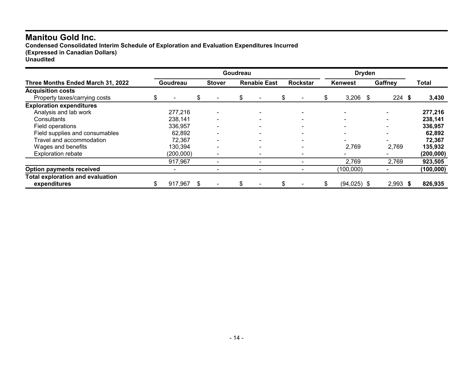**Condensed Consolidated Interim Schedule of Exploration and Evaluation Expenditures Incurred (Expressed in Canadian Dollars) Unaudited**

**Goudreau Dryden Three Months Ended March 31, 2022 Goudreau Stover Renabie East Rockstar Kenwest Gaffney Total Acquisition costs** Property taxes/carrying costs \$ - \$ - \$ - \$ - \$ 3,206 \$ 224 **\$ 3,430 Exploration expenditures** Analysis and lab work **277,216** - 277,216 - - - - - - - - - - - - - - - - - - 277,216 Consultants 238,141 - - - - - **238,141** Field operations 336,957 - - - - - **336,957** Field supplies and consumables 62,892 - - - - - - - - - - - - - - - - **62,892**<br>Travel and accommodation 72,367 - - - - - - - - - - - - - - - - 72,367 Travel and accommodation **12,367** - 12,367 - 12,367 - 12,478 - 12,478 - 12,478 - 12,478 - 12,478 - 12,478 - 12,478 - 12,478 - 12,478 - 12,478 - 12,478 - 12,478 - 12,478 - 12,478 - 12,478 - 12,478 - 12,478 - 12,478 - 12,478 Wages and benefits **130,394** - 130,394<br>Exploration rebate **135,932** (200,000) - - - - - - - - - - - - - (200,000) Exploration rebate (200,000) - - - - - **(200,000)** 917,967 - - - 2,769 2,769 **923,505 Option payments received** - - - - (100,000) - **(100,000) Total exploration and evaluation expenditures** \$ 917,967 \$ - \$ - \$ - \$ (94,025) \$ 2,993 **\$ 826,935**